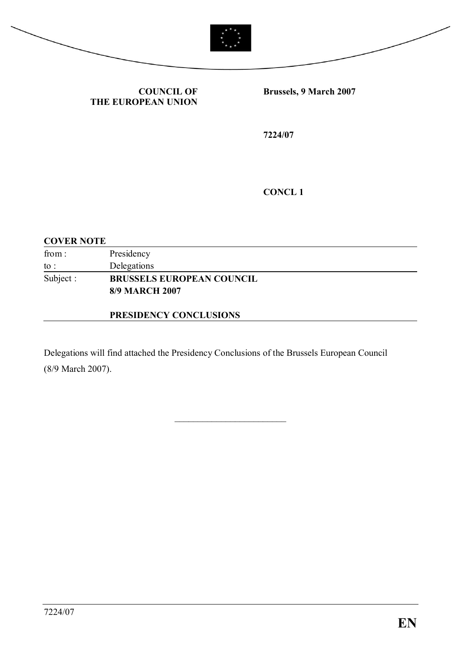



**COUNCIL OF THE EUROPEAN UNION** **Brussels, 9 March 2007**

**7224/07**

**CONCL 1**

#### **COVER NOTE**

| from:     | Presidency                                                |
|-----------|-----------------------------------------------------------|
| to :      | Delegations                                               |
| Subject : | <b>BRUSSELS EUROPEAN COUNCIL</b><br><b>8/9 MARCH 2007</b> |

### **PRESIDENCY CONCLUSIONS**

Delegations will find attached the Presidency Conclusions of the Brussels European Council (8/9 March 2007).

 $\overline{\phantom{a}}$  , which is a set of the set of the set of the set of the set of the set of the set of the set of the set of the set of the set of the set of the set of the set of the set of the set of the set of the set of th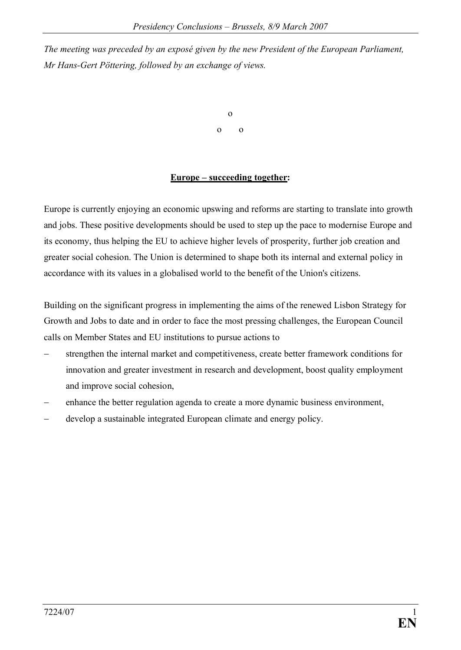*The meeting was preceded by an exposé given by the new President of the European Parliament, Mr Hans-Gert Pöttering, followed by an exchange of views.*

> o o o

## **Europe – succeeding together:**

Europe is currently enjoying an economic upswing and reforms are starting to translate into growth and jobs. These positive developments should be used to step up the pace to modernise Europe and its economy, thus helping the EU to achieve higher levels of prosperity, further job creation and greater social cohesion. The Union is determined to shape both its internal and external policy in accordance with its values in a globalised world to the benefit of the Union's citizens.

Building on the significant progress in implementing the aims of the renewed Lisbon Strategy for Growth and Jobs to date and in order to face the most pressing challenges, the European Council calls on Member States and EU institutions to pursue actions to

- strengthen the internal market and competitiveness, create better framework conditions for innovation and greater investment in research and development, boost quality employment and improve social cohesion,
- enhance the better regulation agenda to create a more dynamic business environment,
- develop a sustainable integrated European climate and energy policy.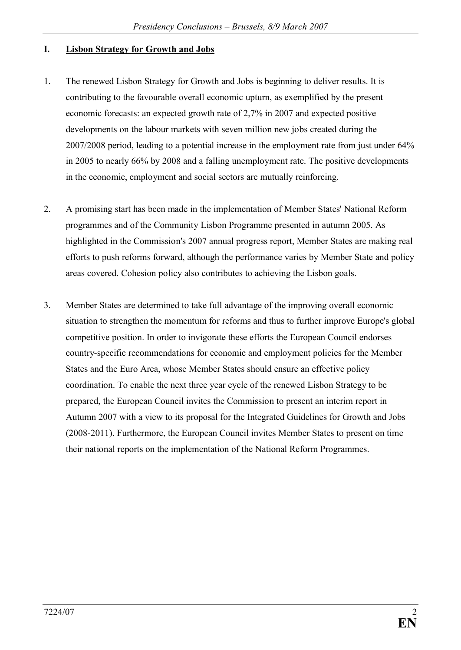## **I. Lisbon Strategy for Growth and Jobs**

- 1. The renewed Lisbon Strategy for Growth and Jobs is beginning to deliver results. It is contributing to the favourable overall economic upturn, as exemplified by the present economic forecasts: an expected growth rate of 2,7% in 2007 and expected positive developments on the labour markets with seven million new jobs created during the 2007/2008 period, leading to a potential increase in the employment rate from just under 64% in 2005 to nearly 66% by 2008 and a falling unemployment rate. The positive developments in the economic, employment and social sectors are mutually reinforcing.
- 2. A promising start has been made in the implementation of Member States' National Reform programmes and of the Community Lisbon Programme presented in autumn 2005. As highlighted in the Commission's 2007 annual progress report, Member States are making real efforts to push reforms forward, although the performance varies by Member State and policy areas covered. Cohesion policy also contributes to achieving the Lisbon goals.
- 3. Member States are determined to take full advantage of the improving overall economic situation to strengthen the momentum for reforms and thus to further improve Europe's global competitive position. In order to invigorate these efforts the European Council endorses country-specific recommendations for economic and employment policies for the Member States and the Euro Area, whose Member States should ensure an effective policy coordination. To enable the next three year cycle of the renewed Lisbon Strategy to be prepared, the European Council invites the Commission to present an interim report in Autumn 2007 with a view to its proposal for the Integrated Guidelines for Growth and Jobs (2008-2011). Furthermore, the European Council invites Member States to present on time their national reports on the implementation of the National Reform Programmes.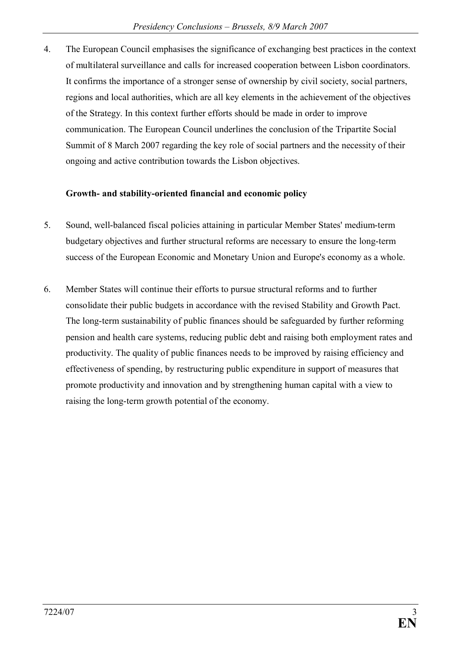4. The European Council emphasises the significance of exchanging best practices in the context of multilateral surveillance and calls for increased cooperation between Lisbon coordinators. It confirms the importance of a stronger sense of ownership by civil society, social partners, regions and local authorities, which are all key elements in the achievement of the objectives of the Strategy. In this context further efforts should be made in order to improve communication. The European Council underlines the conclusion of the Tripartite Social Summit of 8 March 2007 regarding the key role of social partners and the necessity of their ongoing and active contribution towards the Lisbon objectives.

### **Growth- and stability-oriented financial and economic policy**

- 5. Sound, well-balanced fiscal policies attaining in particular Member States' medium-term budgetary objectives and further structural reforms are necessary to ensure the long-term success of the European Economic and Monetary Union and Europe's economy as a whole.
- 6. Member States will continue their efforts to pursue structural reforms and to further consolidate their public budgets in accordance with the revised Stability and Growth Pact. The long-term sustainability of public finances should be safeguarded by further reforming pension and health care systems, reducing public debt and raising both employment rates and productivity. The quality of public finances needs to be improved by raising efficiency and effectiveness of spending, by restructuring public expenditure in support of measures that promote productivity and innovation and by strengthening human capital with a view to raising the long-term growth potential of the economy.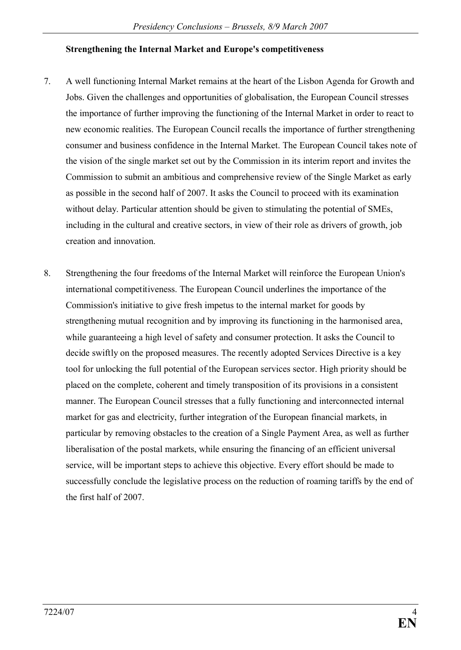### **Strengthening the Internal Market and Europe's competitiveness**

- 7. A well functioning Internal Market remains at the heart of the Lisbon Agenda for Growth and Jobs. Given the challenges and opportunities of globalisation, the European Council stresses the importance of further improving the functioning of the Internal Market in order to react to new economic realities. The European Council recalls the importance of further strengthening consumer and business confidence in the Internal Market. The European Council takes note of the vision of the single market set out by the Commission in its interim report and invites the Commission to submit an ambitious and comprehensive review of the Single Market as early as possible in the second half of 2007. It asks the Council to proceed with its examination without delay. Particular attention should be given to stimulating the potential of SMEs, including in the cultural and creative sectors, in view of their role as drivers of growth, job creation and innovation.
- 8. Strengthening the four freedoms of the Internal Market will reinforce the European Union's international competitiveness. The European Council underlines the importance of the Commission's initiative to give fresh impetus to the internal market for goods by strengthening mutual recognition and by improving its functioning in the harmonised area, while guaranteeing a high level of safety and consumer protection. It asks the Council to decide swiftly on the proposed measures. The recently adopted Services Directive is a key tool for unlocking the full potential of the European services sector. High priority should be placed on the complete, coherent and timely transposition of its provisions in a consistent manner. The European Council stresses that a fully functioning and interconnected internal market for gas and electricity, further integration of the European financial markets, in particular by removing obstacles to the creation of a Single Payment Area, as well as further liberalisation of the postal markets, while ensuring the financing of an efficient universal service, will be important steps to achieve this objective. Every effort should be made to successfully conclude the legislative process on the reduction of roaming tariffs by the end of the first half of 2007.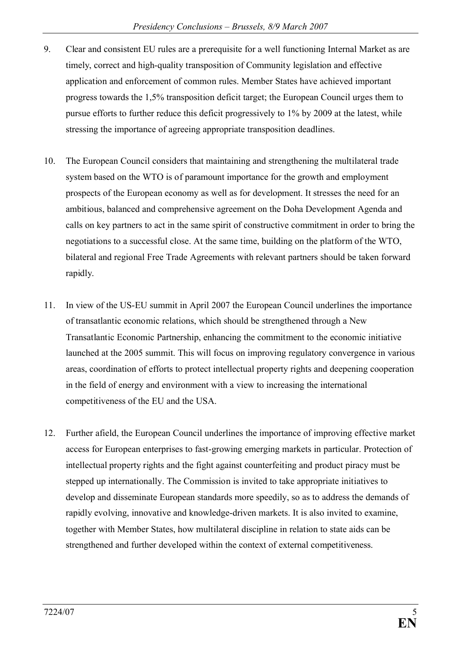- 9. Clear and consistent EU rules are a prerequisite for a well functioning Internal Market as are timely, correct and high-quality transposition of Community legislation and effective application and enforcement of common rules. Member States have achieved important progress towards the 1,5% transposition deficit target; the European Council urges them to pursue efforts to further reduce this deficit progressively to 1% by 2009 at the latest, while stressing the importance of agreeing appropriate transposition deadlines.
- 10. The European Council considers that maintaining and strengthening the multilateral trade system based on the WTO is of paramount importance for the growth and employment prospects of the European economy as well as for development. It stresses the need for an ambitious, balanced and comprehensive agreement on the Doha Development Agenda and calls on key partners to act in the same spirit of constructive commitment in order to bring the negotiations to a successful close. At the same time, building on the platform of the WTO, bilateral and regional Free Trade Agreements with relevant partners should be taken forward rapidly.
- 11. In view of the US-EU summit in April 2007 the European Council underlines the importance of transatlantic economic relations, which should be strengthened through a New Transatlantic Economic Partnership, enhancing the commitment to the economic initiative launched at the 2005 summit. This will focus on improving regulatory convergence in various areas, coordination of efforts to protect intellectual property rights and deepening cooperation in the field of energy and environment with a view to increasing the international competitiveness of the EU and the USA.
- 12. Further afield, the European Council underlines the importance of improving effective market access for European enterprises to fast-growing emerging markets in particular. Protection of intellectual property rights and the fight against counterfeiting and product piracy must be stepped up internationally. The Commission is invited to take appropriate initiatives to develop and disseminate European standards more speedily, so as to address the demands of rapidly evolving, innovative and knowledge-driven markets. It is also invited to examine, together with Member States, how multilateral discipline in relation to state aids can be strengthened and further developed within the context of external competitiveness.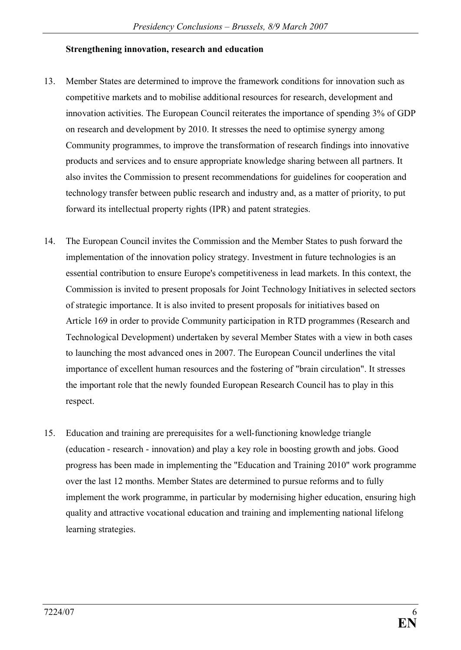#### **Strengthening innovation, research and education**

- 13. Member States are determined to improve the framework conditions for innovation such as competitive markets and to mobilise additional resources for research, development and innovation activities. The European Council reiterates the importance of spending 3% of GDP on research and development by 2010. It stresses the need to optimise synergy among Community programmes, to improve the transformation of research findings into innovative products and services and to ensure appropriate knowledge sharing between all partners. It also invites the Commission to present recommendations for guidelines for cooperation and technology transfer between public research and industry and, as a matter of priority, to put forward its intellectual property rights (IPR) and patent strategies.
- 14. The European Council invites the Commission and the Member States to push forward the implementation of the innovation policy strategy. Investment in future technologies is an essential contribution to ensure Europe's competitiveness in lead markets. In this context, the Commission is invited to present proposals for Joint Technology Initiatives in selected sectors of strategic importance. It is also invited to present proposals for initiatives based on Article 169 in order to provide Community participation in RTD programmes (Research and Technological Development) undertaken by several Member States with a view in both cases to launching the most advanced ones in 2007. The European Council underlines the vital importance of excellent human resources and the fostering of "brain circulation". It stresses the important role that the newly founded European Research Council has to play in this respect.
- 15. Education and training are prerequisites for a well-functioning knowledge triangle (education - research - innovation) and play a key role in boosting growth and jobs. Good progress has been made in implementing the "Education and Training 2010" work programme over the last 12 months. Member States are determined to pursue reforms and to fully implement the work programme, in particular by modernising higher education, ensuring high quality and attractive vocational education and training and implementing national lifelong learning strategies.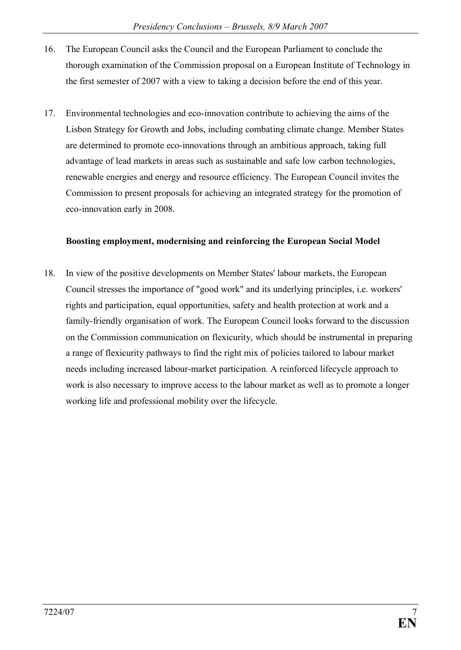- 16. The European Council asks the Council and the European Parliament to conclude the thorough examination of the Commission proposal on a European Institute of Technology in the first semester of 2007 with a view to taking a decision before the end of this year.
- 17. Environmental technologies and eco-innovation contribute to achieving the aims of the Lisbon Strategy for Growth and Jobs, including combating climate change. Member States are determined to promote eco-innovations through an ambitious approach, taking full advantage of lead markets in areas such as sustainable and safe low carbon technologies, renewable energies and energy and resource efficiency. The European Council invites the Commission to present proposals for achieving an integrated strategy for the promotion of eco-innovation early in 2008.

### **Boosting employment, modernising and reinforcing the European Social Model**

18. In view of the positive developments on Member States' labour markets, the European Council stresses the importance of "good work" and its underlying principles, i.e. workers' rights and participation, equal opportunities, safety and health protection at work and a family-friendly organisation of work. The European Council looks forward to the discussion on the Commission communication on flexicurity, which should be instrumental in preparing a range of flexicurity pathways to find the right mix of policies tailored to labour market needs including increased labour-market participation. A reinforced lifecycle approach to work is also necessary to improve access to the labour market as well as to promote a longer working life and professional mobility over the lifecycle.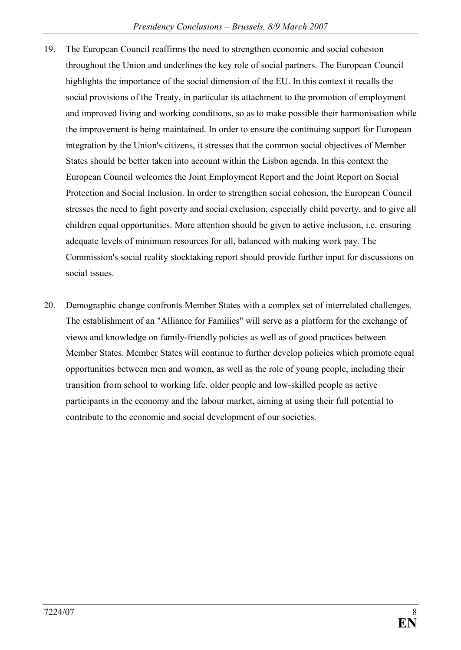- 19. The European Council reaffirms the need to strengthen economic and social cohesion throughout the Union and underlines the key role of social partners. The European Council highlights the importance of the social dimension of the EU. In this context it recalls the social provisions of the Treaty, in particular its attachment to the promotion of employment and improved living and working conditions, so as to make possible their harmonisation while the improvement is being maintained. In order to ensure the continuing support for European integration by the Union's citizens, it stresses that the common social objectives of Member States should be better taken into account within the Lisbon agenda. In this context the European Council welcomes the Joint Employment Report and the Joint Report on Social Protection and Social Inclusion. In order to strengthen social cohesion, the European Council stresses the need to fight poverty and social exclusion, especially child poverty, and to give all children equal opportunities. More attention should be given to active inclusion, i.e. ensuring adequate levels of minimum resources for all, balanced with making work pay. The Commission's social reality stocktaking report should provide further input for discussions on social issues.
- 20. Demographic change confronts Member States with a complex set of interrelated challenges. The establishment of an "Alliance for Families" will serve as a platform for the exchange of views and knowledge on family-friendly policies as well as of good practices between Member States. Member States will continue to further develop policies which promote equal opportunities between men and women, as well as the role of young people, including their transition from school to working life, older people and low-skilled people as active participants in the economy and the labour market, aiming at using their full potential to contribute to the economic and social development of our societies.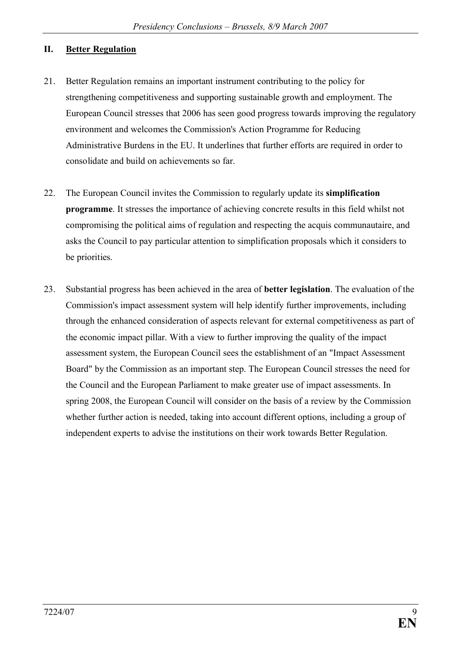## **II. Better Regulation**

- 21. Better Regulation remains an important instrument contributing to the policy for strengthening competitiveness and supporting sustainable growth and employment. The European Council stresses that 2006 has seen good progress towards improving the regulatory environment and welcomes the Commission's Action Programme for Reducing Administrative Burdens in the EU. It underlines that further efforts are required in order to consolidate and build on achievements so far.
- 22. The European Council invites the Commission to regularly update its **simplification programme**. It stresses the importance of achieving concrete results in this field whilst not compromising the political aims of regulation and respecting the acquis communautaire, and asks the Council to pay particular attention to simplification proposals which it considers to be priorities.
- 23. Substantial progress has been achieved in the area of **better legislation**. The evaluation of the Commission's impact assessment system will help identify further improvements, including through the enhanced consideration of aspects relevant for external competitiveness as part of the economic impact pillar. With a view to further improving the quality of the impact assessment system, the European Council sees the establishment of an "Impact Assessment Board" by the Commission as an important step. The European Council stresses the need for the Council and the European Parliament to make greater use of impact assessments. In spring 2008, the European Council will consider on the basis of a review by the Commission whether further action is needed, taking into account different options, including a group of independent experts to advise the institutions on their work towards Better Regulation.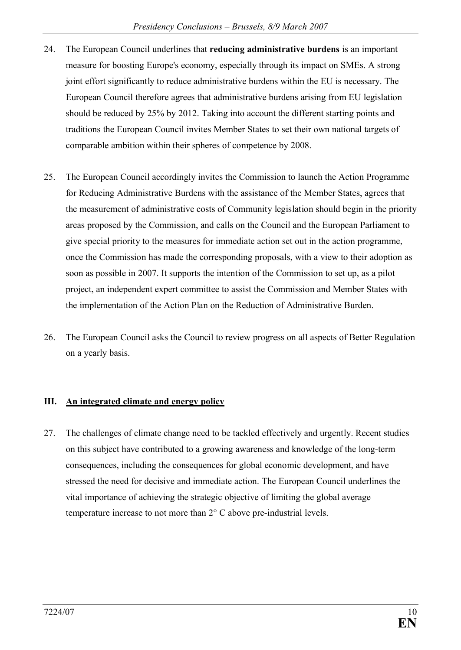- 24. The European Council underlines that **reducing administrative burdens** is an important measure for boosting Europe's economy, especially through its impact on SMEs. A strong joint effort significantly to reduce administrative burdens within the EU is necessary. The European Council therefore agrees that administrative burdens arising from EU legislation should be reduced by 25% by 2012. Taking into account the different starting points and traditions the European Council invites Member States to set their own national targets of comparable ambition within their spheres of competence by 2008.
- 25. The European Council accordingly invites the Commission to launch the Action Programme for Reducing Administrative Burdens with the assistance of the Member States, agrees that the measurement of administrative costs of Community legislation should begin in the priority areas proposed by the Commission, and calls on the Council and the European Parliament to give special priority to the measures for immediate action set out in the action programme, once the Commission has made the corresponding proposals, with a view to their adoption as soon as possible in 2007. It supports the intention of the Commission to set up, as a pilot project, an independent expert committee to assist the Commission and Member States with the implementation of the Action Plan on the Reduction of Administrative Burden.
- 26. The European Council asks the Council to review progress on all aspects of Better Regulation on a yearly basis.

# **III. An integrated climate and energy policy**

27. The challenges of climate change need to be tackled effectively and urgently. Recent studies on this subject have contributed to a growing awareness and knowledge of the long-term consequences, including the consequences for global economic development, and have stressed the need for decisive and immediate action. The European Council underlines the vital importance of achieving the strategic objective of limiting the global average temperature increase to not more than 2° C above pre-industrial levels.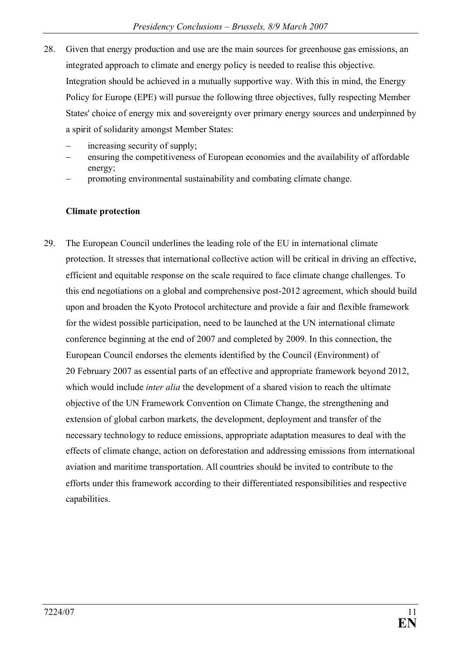- 28. Given that energy production and use are the main sources for greenhouse gas emissions, an integrated approach to climate and energy policy is needed to realise this objective. Integration should be achieved in a mutually supportive way. With this in mind, the Energy Policy for Europe (EPE) will pursue the following three objectives, fully respecting Member States' choice of energy mix and sovereignty over primary energy sources and underpinned by a spirit of solidarity amongst Member States:
	- increasing security of supply;
	- ensuring the competitiveness of European economies and the availability of affordable energy;
	- promoting environmental sustainability and combating climate change.

### **Climate protection**

29. The European Council underlines the leading role of the EU in international climate protection. It stresses that international collective action will be critical in driving an effective, efficient and equitable response on the scale required to face climate change challenges. To this end negotiations on a global and comprehensive post-2012 agreement, which should build upon and broaden the Kyoto Protocol architecture and provide a fair and flexible framework for the widest possible participation, need to be launched at the UN international climate conference beginning at the end of 2007 and completed by 2009. In this connection, the European Council endorses the elements identified by the Council (Environment) of 20 February 2007 as essential parts of an effective and appropriate framework beyond 2012, which would include *inter alia* the development of a shared vision to reach the ultimate objective of the UN Framework Convention on Climate Change, the strengthening and extension of global carbon markets, the development, deployment and transfer of the necessary technology to reduce emissions, appropriate adaptation measures to deal with the effects of climate change, action on deforestation and addressing emissions from international aviation and maritime transportation. All countries should be invited to contribute to the efforts under this framework according to their differentiated responsibilities and respective capabilities.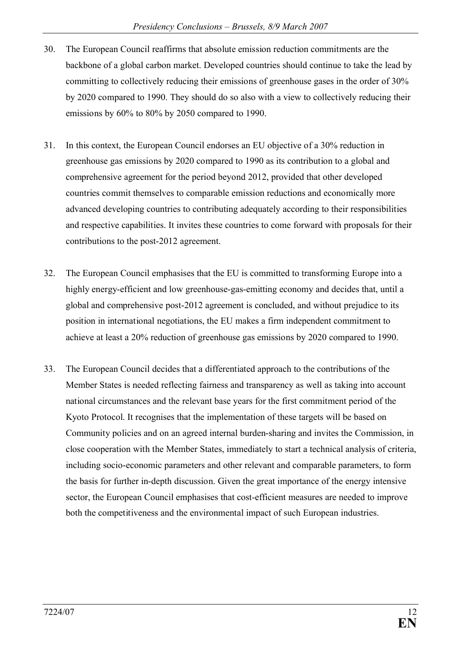- 30. The European Council reaffirms that absolute emission reduction commitments are the backbone of a global carbon market. Developed countries should continue to take the lead by committing to collectively reducing their emissions of greenhouse gases in the order of 30% by 2020 compared to 1990. They should do so also with a view to collectively reducing their emissions by  $60\%$  to  $80\%$  by  $2050$  compared to 1990.
- 31. In this context, the European Council endorses an EU objective of a 30% reduction in greenhouse gas emissions by 2020 compared to 1990 as its contribution to a global and comprehensive agreement for the period beyond 2012, provided that other developed countries commit themselves to comparable emission reductions and economically more advanced developing countries to contributing adequately according to their responsibilities and respective capabilities. It invites these countries to come forward with proposals for their contributions to the post-2012 agreement.
- 32. The European Council emphasises that the EU is committed to transforming Europe into a highly energy-efficient and low greenhouse-gas-emitting economy and decides that, until a global and comprehensive post-2012 agreement is concluded, and without prejudice to its position in international negotiations, the EU makes a firm independent commitment to achieve at least a 20% reduction of greenhouse gas emissions by 2020 compared to 1990.
- 33. The European Council decides that a differentiated approach to the contributions of the Member States is needed reflecting fairness and transparency as well as taking into account national circumstances and the relevant base years for the first commitment period of the Kyoto Protocol. It recognises that the implementation of these targets will be based on Community policies and on an agreed internal burden-sharing and invites the Commission, in close cooperation with the Member States, immediately to start a technical analysis of criteria, including socio-economic parameters and other relevant and comparable parameters, to form the basis for further in-depth discussion. Given the great importance of the energy intensive sector, the European Council emphasises that cost-efficient measures are needed to improve both the competitiveness and the environmental impact of such European industries.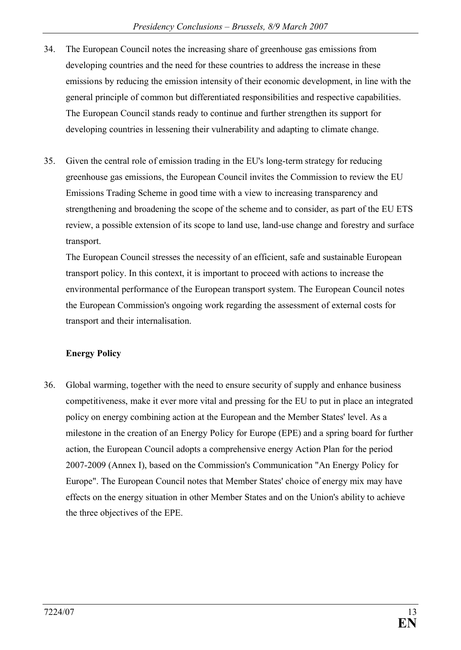- 34. The European Council notes the increasing share of greenhouse gas emissions from developing countries and the need for these countries to address the increase in these emissions by reducing the emission intensity of their economic development, in line with the general principle of common but differentiated responsibilities and respective capabilities. The European Council stands ready to continue and further strengthen its support for developing countries in lessening their vulnerability and adapting to climate change.
- 35. Given the central role of emission trading in the EU's long-term strategy for reducing greenhouse gas emissions, the European Council invites the Commission to review the EU Emissions Trading Scheme in good time with a view to increasing transparency and strengthening and broadening the scope of the scheme and to consider, as part of the EU ETS review, a possible extension of its scope to land use, land-use change and forestry and surface transport.

The European Council stresses the necessity of an efficient, safe and sustainable European transport policy. In this context, it is important to proceed with actions to increase the environmental performance of the European transport system. The European Council notes the European Commission's ongoing work regarding the assessment of external costs for transport and their internalisation.

# **Energy Policy**

36. Global warming, together with the need to ensure security of supply and enhance business competitiveness, make it ever more vital and pressing for the EU to put in place an integrated policy on energy combining action at the European and the Member States' level. As a milestone in the creation of an Energy Policy for Europe (EPE) and a spring board for further action, the European Council adopts a comprehensive energy Action Plan for the period 2007-2009 (Annex I), based on the Commission's Communication "An Energy Policy for Europe". The European Council notes that Member States' choice of energy mix may have effects on the energy situation in other Member States and on the Union's ability to achieve the three objectives of the EPE.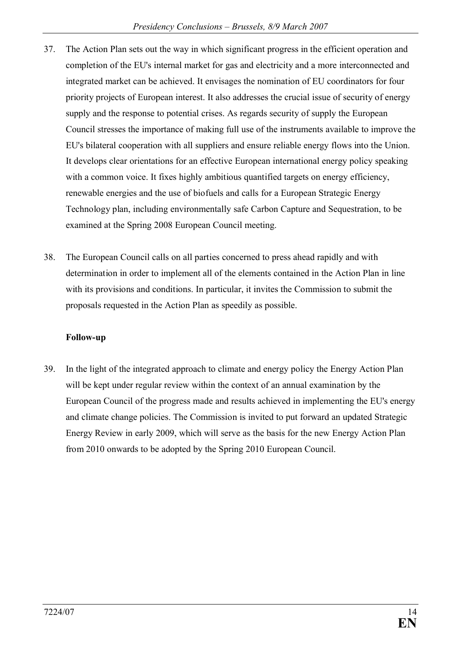- 37. The Action Plan sets out the way in which significant progress in the efficient operation and completion of the EU's internal market for gas and electricity and a more interconnected and integrated market can be achieved. It envisages the nomination of EU coordinators for four priority projects of European interest. It also addresses the crucial issue of security of energy supply and the response to potential crises. As regards security of supply the European Council stresses the importance of making full use of the instruments available to improve the EU's bilateral cooperation with all suppliers and ensure reliable energy flows into the Union. It develops clear orientations for an effective European international energy policy speaking with a common voice. It fixes highly ambitious quantified targets on energy efficiency, renewable energies and the use of biofuels and calls for a European Strategic Energy Technology plan, including environmentally safe Carbon Capture and Sequestration, to be examined at the Spring 2008 European Council meeting.
- 38. The European Council calls on all parties concerned to press ahead rapidly and with determination in order to implement all of the elements contained in the Action Plan in line with its provisions and conditions. In particular, it invites the Commission to submit the proposals requested in the Action Plan as speedily as possible.

# **Follow-up**

39. In the light of the integrated approach to climate and energy policy the Energy Action Plan will be kept under regular review within the context of an annual examination by the European Council of the progress made and results achieved in implementing the EU's energy and climate change policies. The Commission is invited to put forward an updated Strategic Energy Review in early 2009, which will serve as the basis for the new Energy Action Plan from 2010 onwards to be adopted by the Spring 2010 European Council.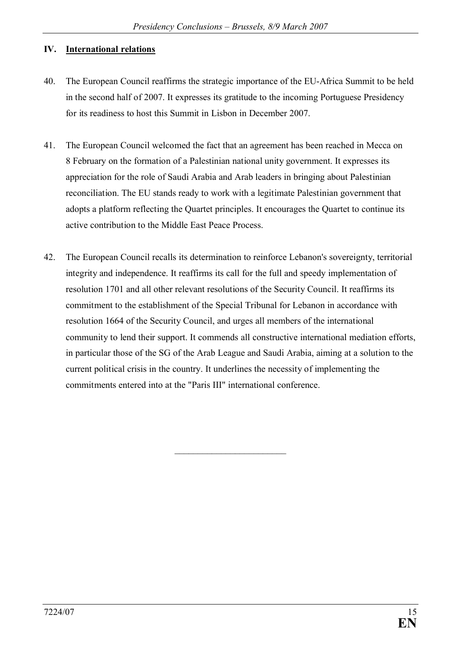# **IV. International relations**

- 40. The European Council reaffirms the strategic importance of the EU-Africa Summit to be held in the second half of 2007. It expresses its gratitude to the incoming Portuguese Presidency for its readiness to host this Summit in Lisbon in December 2007.
- 41. The European Council welcomed the fact that an agreement has been reached in Mecca on 8 February on the formation of a Palestinian national unity government. It expresses its appreciation for the role of Saudi Arabia and Arab leaders in bringing about Palestinian reconciliation. The EU stands ready to work with a legitimate Palestinian government that adopts a platform reflecting the Quartet principles. It encourages the Quartet to continue its active contribution to the Middle East Peace Process.
- 42. The European Council recalls its determination to reinforce Lebanon's sovereignty, territorial integrity and independence. It reaffirms its call for the full and speedy implementation of resolution 1701 and all other relevant resolutions of the Security Council. It reaffirms its commitment to the establishment of the Special Tribunal for Lebanon in accordance with resolution 1664 of the Security Council, and urges all members of the international community to lend their support. It commends all constructive international mediation efforts, in particular those of the SG of the Arab League and Saudi Arabia, aiming at a solution to the current political crisis in the country. It underlines the necessity of implementing the commitments entered into at the "Paris III" international conference.

\_\_\_\_\_\_\_\_\_\_\_\_\_\_\_\_\_\_\_\_\_\_\_\_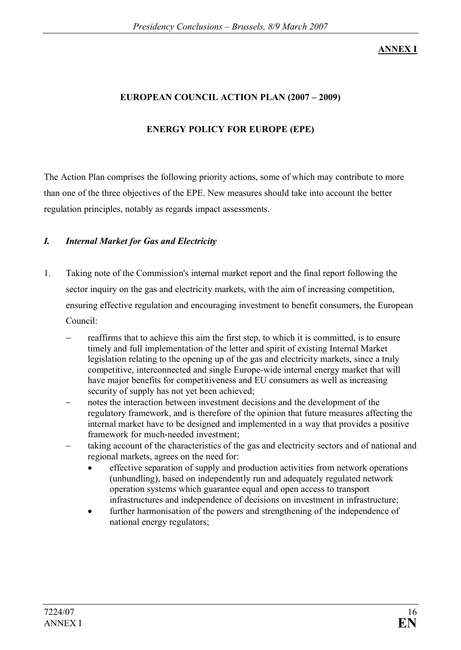# **ANNEX I**

## **EUROPEAN COUNCIL ACTION PLAN (2007 – 2009)**

## **ENERGY POLICY FOR EUROPE (EPE)**

The Action Plan comprises the following priority actions, some of which may contribute to more than one of the three objectives of the EPE. New measures should take into account the better regulation principles, notably as regards impact assessments.

### *I. Internal Market for Gas and Electricity*

- 1. Taking note of the Commission's internal market report and the final report following the sector inquiry on the gas and electricity markets, with the aim of increasing competition, ensuring effective regulation and encouraging investment to benefit consumers, the European Council:
	- reaffirms that to achieve this aim the first step, to which it is committed, is to ensure timely and full implementation of the letter and spirit of existing Internal Market legislation relating to the opening up of the gas and electricity markets, since a truly competitive, interconnected and single Europe-wide internal energy market that will have major benefits for competitiveness and EU consumers as well as increasing security of supply has not yet been achieved;
	- notes the interaction between investment decisions and the development of the regulatory framework, and is therefore of the opinion that future measures affecting the internal market have to be designed and implemented in a way that provides a positive framework for much-needed investment;
	- taking account of the characteristics of the gas and electricity sectors and of national and regional markets, agrees on the need for:
		- effective separation of supply and production activities from network operations (unbundling), based on independently run and adequately regulated network operation systems which guarantee equal and open access to transport infrastructures and independence of decisions on investment in infrastructure;
		- further harmonisation of the powers and strengthening of the independence of national energy regulators;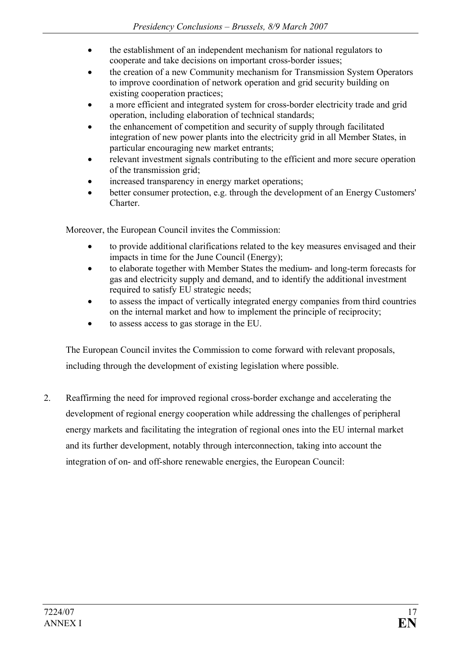- the establishment of an independent mechanism for national regulators to cooperate and take decisions on important cross-border issues;
- · the creation of a new Community mechanism for Transmission System Operators to improve coordination of network operation and grid security building on existing cooperation practices;
- a more efficient and integrated system for cross-border electricity trade and grid operation, including elaboration of technical standards;
- the enhancement of competition and security of supply through facilitated integration of new power plants into the electricity grid in all Member States, in particular encouraging new market entrants;
- relevant investment signals contributing to the efficient and more secure operation of the transmission grid;
- increased transparency in energy market operations;
- better consumer protection, e.g. through the development of an Energy Customers' Charter.

Moreover, the European Council invites the Commission:

- · to provide additional clarifications related to the key measures envisaged and their impacts in time for the June Council (Energy);
- · to elaborate together with Member States the medium- and long-term forecasts for gas and electricity supply and demand, and to identify the additional investment required to satisfy EU strategic needs;
- · to assess the impact of vertically integrated energy companies from third countries on the internal market and how to implement the principle of reciprocity;
- · to assess access to gas storage in the EU.

The European Council invites the Commission to come forward with relevant proposals, including through the development of existing legislation where possible.

2. Reaffirming the need for improved regional cross-border exchange and accelerating the development of regional energy cooperation while addressing the challenges of peripheral energy markets and facilitating the integration of regional ones into the EU internal market and its further development, notably through interconnection, taking into account the integration of on- and off-shore renewable energies, the European Council: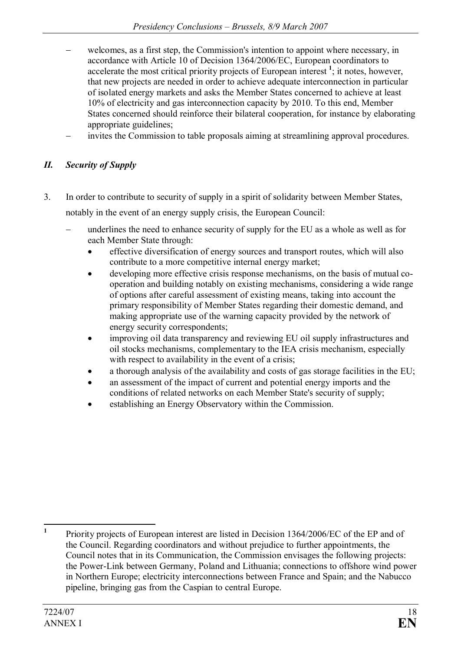- welcomes, as a first step, the Commission's intention to appoint where necessary, in accordance with Article 10 of Decision 1364/2006/EC, European coordinators to accelerate the most critical priority projects of European interest <sup>1</sup>; it notes, however, that new projects are needed in order to achieve adequate interconnection in particular of isolated energy markets and asks the Member States concerned to achieve at least 10% of electricity and gas interconnection capacity by 2010. To this end, Member States concerned should reinforce their bilateral cooperation, for instance by elaborating appropriate guidelines;
- invites the Commission to table proposals aiming at streamlining approval procedures.

## *II. Security of Supply*

- 3. In order to contribute to security of supply in a spirit of solidarity between Member States, notably in the event of an energy supply crisis, the European Council:
	- underlines the need to enhance security of supply for the EU as a whole as well as for each Member State through:
		- effective diversification of energy sources and transport routes, which will also contribute to a more competitive internal energy market;
		- · developing more effective crisis response mechanisms, on the basis of mutual cooperation and building notably on existing mechanisms, considering a wide range of options after careful assessment of existing means, taking into account the primary responsibility of Member States regarding their domestic demand, and making appropriate use of the warning capacity provided by the network of energy security correspondents;
		- · improving oil data transparency and reviewing EU oil supply infrastructures and oil stocks mechanisms, complementary to the IEA crisis mechanism, especially with respect to availability in the event of a crisis;
		- a thorough analysis of the availability and costs of gas storage facilities in the EU;
		- an assessment of the impact of current and potential energy imports and the conditions of related networks on each Member State's security of supply;
		- establishing an Energy Observatory within the Commission.

**<sup>1</sup>** Priority projects of European interest are listed in Decision 1364/2006/EC of the EP and of the Council. Regarding coordinators and without prejudice to further appointments, the Council notes that in its Communication, the Commission envisages the following projects: the Power-Link between Germany, Poland and Lithuania; connections to offshore wind power in Northern Europe; electricity interconnections between France and Spain; and the Nabucco pipeline, bringing gas from the Caspian to central Europe.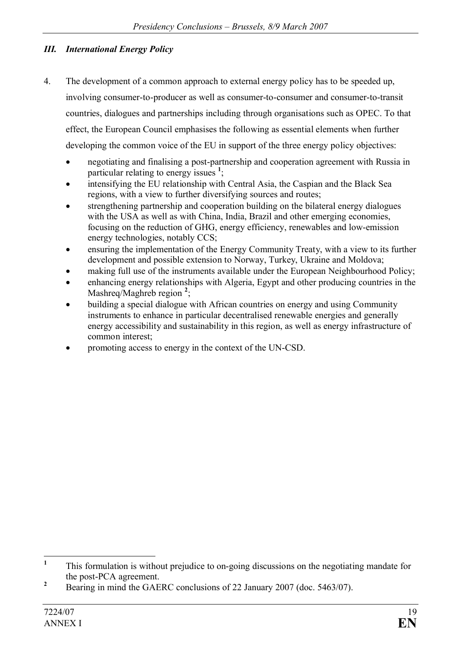# *III. International Energy Policy*

- 4. The development of a common approach to external energy policy has to be speeded up, involving consumer-to-producer as well as consumer-to-consumer and consumer-to-transit countries, dialogues and partnerships including through organisations such as OPEC. To that effect, the European Council emphasises the following as essential elements when further developing the common voice of the EU in support of the three energy policy objectives:
	- negotiating and finalising a post-partnership and cooperation agreement with Russia in particular relating to energy issues **<sup>1</sup>** ;
	- intensifying the EU relationship with Central Asia, the Caspian and the Black Sea regions, with a view to further diversifying sources and routes;
	- strengthening partnership and cooperation building on the bilateral energy dialogues with the USA as well as with China, India, Brazil and other emerging economies, focusing on the reduction of GHG, energy efficiency, renewables and low-emission energy technologies, notably CCS;
	- ensuring the implementation of the Energy Community Treaty, with a view to its further development and possible extension to Norway, Turkey, Ukraine and Moldova;
	- making full use of the instruments available under the European Neighbourhood Policy;
	- enhancing energy relationships with Algeria, Egypt and other producing countries in the Mashreq/Maghreb region **<sup>2</sup>** ;
	- building a special dialogue with African countries on energy and using Community instruments to enhance in particular decentralised renewable energies and generally energy accessibility and sustainability in this region, as well as energy infrastructure of common interest;
	- promoting access to energy in the context of the UN-CSD.

**<sup>1</sup>** This formulation is without prejudice to on-going discussions on the negotiating mandate for the post-PCA agreement.

<sup>&</sup>lt;sup>2</sup> Bearing in mind the GAERC conclusions of 22 January 2007 (doc. 5463/07).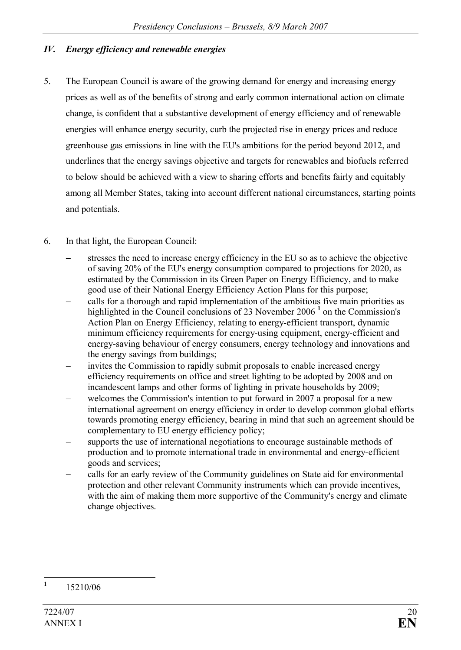# *IV. Energy efficiency and renewable energies*

- 5. The European Council is aware of the growing demand for energy and increasing energy prices as well as of the benefits of strong and early common international action on climate change, is confident that a substantive development of energy efficiency and of renewable energies will enhance energy security, curb the projected rise in energy prices and reduce greenhouse gas emissions in line with the EU's ambitions for the period beyond 2012, and underlines that the energy savings objective and targets for renewables and biofuels referred to below should be achieved with a view to sharing efforts and benefits fairly and equitably among all Member States, taking into account different national circumstances, starting points and potentials.
- 6. In that light, the European Council:
	- stresses the need to increase energy efficiency in the EU so as to achieve the objective of saving 20% of the EU's energy consumption compared to projections for 2020, as estimated by the Commission in its Green Paper on Energy Efficiency, and to make good use of their National Energy Efficiency Action Plans for this purpose;
	- calls for a thorough and rapid implementation of the ambitious five main priorities as highlighted in the Council conclusions of 23 November 2006 **<sup>1</sup>** on the Commission's Action Plan on Energy Efficiency, relating to energy-efficient transport, dynamic minimum efficiency requirements for energy-using equipment, energy-efficient and energy-saving behaviour of energy consumers, energy technology and innovations and the energy savings from buildings;
	- invites the Commission to rapidly submit proposals to enable increased energy efficiency requirements on office and street lighting to be adopted by 2008 and on incandescent lamps and other forms of lighting in private households by 2009;
	- welcomes the Commission's intention to put forward in 2007 a proposal for a new international agreement on energy efficiency in order to develop common global efforts towards promoting energy efficiency, bearing in mind that such an agreement should be complementary to EU energy efficiency policy;
	- supports the use of international negotiations to encourage sustainable methods of production and to promote international trade in environmental and energy-efficient goods and services;
	- calls for an early review of the Community guidelines on State aid for environmental protection and other relevant Community instruments which can provide incentives, with the aim of making them more supportive of the Community's energy and climate change objectives.

**<sup>1</sup>** 15210/06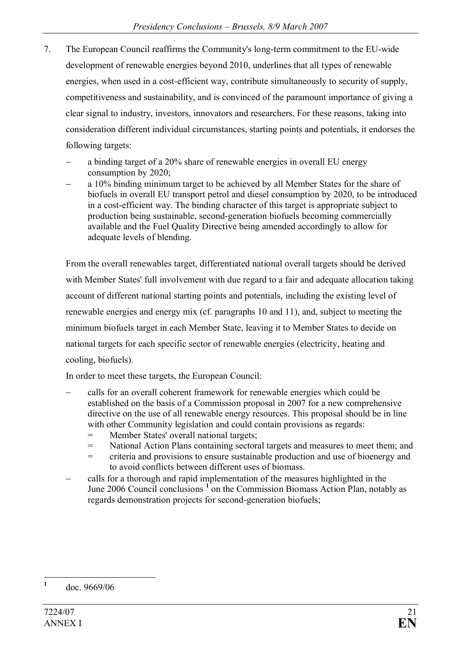- 7. The European Council reaffirms the Community's long-term commitment to the EU-wide development of renewable energies beyond 2010, underlines that all types of renewable energies, when used in a cost-efficient way, contribute simultaneously to security of supply, competitiveness and sustainability, and is convinced of the paramount importance of giving a clear signal to industry, investors, innovators and researchers. For these reasons, taking into consideration different individual circumstances, starting points and potentials, it endorses the following targets:
	- a binding target of a 20% share of renewable energies in overall EU energy consumption by 2020;
	- a 10% binding minimum target to be achieved by all Member States for the share of biofuels in overall EU transport petrol and diesel consumption by 2020, to be introduced in a cost-efficient way. The binding character of this target is appropriate subject to production being sustainable, second-generation biofuels becoming commercially available and the Fuel Quality Directive being amended accordingly to allow for adequate levels of blending.

From the overall renewables target, differentiated national overall targets should be derived with Member States' full involvement with due regard to a fair and adequate allocation taking account of different national starting points and potentials, including the existing level of renewable energies and energy mix (cf. paragraphs 10 and 11), and, subject to meeting the minimum biofuels target in each Member State, leaving it to Member States to decide on national targets for each specific sector of renewable energies (electricity, heating and cooling, biofuels).

In order to meet these targets, the European Council:

- calls for an overall coherent framework for renewable energies which could be established on the basis of a Commission proposal in 2007 for a new comprehensive directive on the use of all renewable energy resources. This proposal should be in line with other Community legislation and could contain provisions as regards:
	- = Member States' overall national targets;
	- = National Action Plans containing sectoral targets and measures to meet them; and
	- = criteria and provisions to ensure sustainable production and use of bioenergy and to avoid conflicts between different uses of biomass.
- calls for a thorough and rapid implementation of the measures highlighted in the June 2006 Council conclusions <sup>1</sup> on the Commission Biomass Action Plan, notably as regards demonstration projects for second-generation biofuels;

**<sup>1</sup>** doc. 9669/06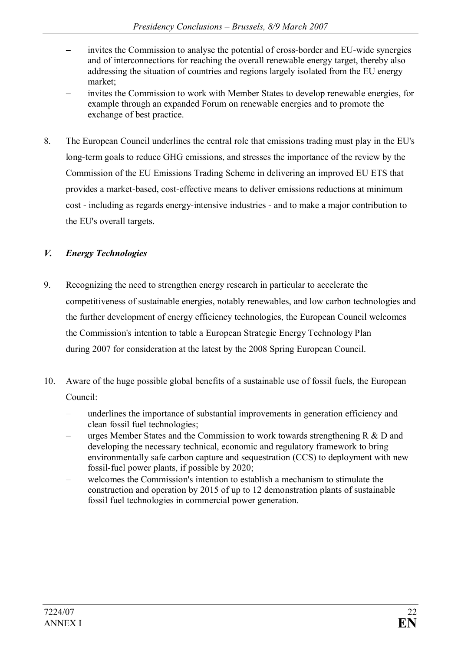- invites the Commission to analyse the potential of cross-border and EU-wide synergies and of interconnections for reaching the overall renewable energy target, thereby also addressing the situation of countries and regions largely isolated from the EU energy market;
- invites the Commission to work with Member States to develop renewable energies, for example through an expanded Forum on renewable energies and to promote the exchange of best practice.
- 8. The European Council underlines the central role that emissions trading must play in the EU's long-term goals to reduce GHG emissions, and stresses the importance of the review by the Commission of the EU Emissions Trading Scheme in delivering an improved EU ETS that provides a market-based, cost-effective means to deliver emissions reductions at minimum cost - including as regards energy-intensive industries - and to make a major contribution to the EU's overall targets.

# *V. Energy Technologies*

- 9. Recognizing the need to strengthen energy research in particular to accelerate the competitiveness of sustainable energies, notably renewables, and low carbon technologies and the further development of energy efficiency technologies, the European Council welcomes the Commission's intention to table a European Strategic Energy Technology Plan during 2007 for consideration at the latest by the 2008 Spring European Council.
- 10. Aware of the huge possible global benefits of a sustainable use of fossil fuels, the European Council:
	- underlines the importance of substantial improvements in generation efficiency and clean fossil fuel technologies;
	- urges Member States and the Commission to work towards strengthening  $R & D$  and developing the necessary technical, economic and regulatory framework to bring environmentally safe carbon capture and sequestration (CCS) to deployment with new fossil-fuel power plants, if possible by 2020;
	- welcomes the Commission's intention to establish a mechanism to stimulate the construction and operation by 2015 of up to 12 demonstration plants of sustainable fossil fuel technologies in commercial power generation.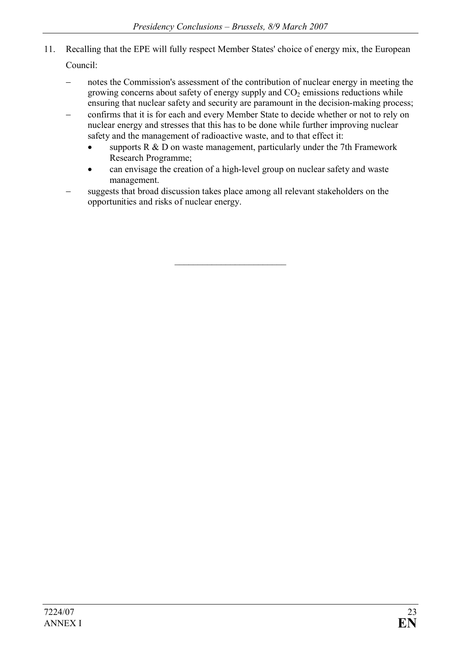- 11. Recalling that the EPE will fully respect Member States' choice of energy mix, the European Council:
	- notes the Commission's assessment of the contribution of nuclear energy in meeting the growing concerns about safety of energy supply and  $CO<sub>2</sub>$  emissions reductions while ensuring that nuclear safety and security are paramount in the decision-making process;
	- confirms that it is for each and every Member State to decide whether or not to rely on nuclear energy and stresses that this has to be done while further improving nuclear safety and the management of radioactive waste, and to that effect it:
		- supports  $R \& D$  on waste management, particularly under the 7th Framework Research Programme;
		- can envisage the creation of a high-level group on nuclear safety and waste management.
	- suggests that broad discussion takes place among all relevant stakeholders on the opportunities and risks of nuclear energy.

\_\_\_\_\_\_\_\_\_\_\_\_\_\_\_\_\_\_\_\_\_\_\_\_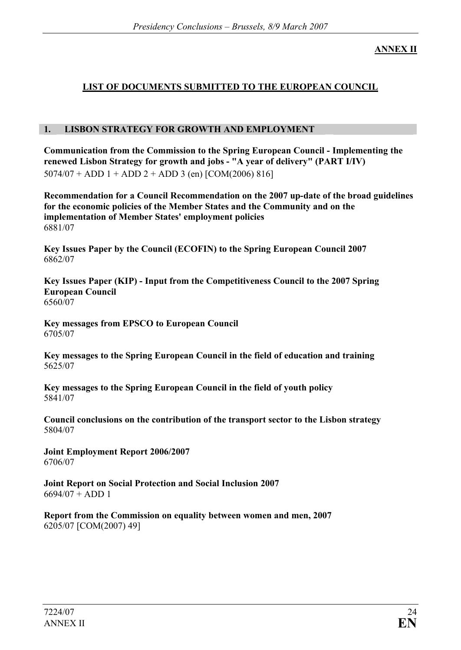**ANNEX II**

# **LIST OF DOCUMENTS SUBMITTED TO THE EUROPEAN COUNCIL**

#### **1. LISBON STRATEGY FOR GROWTH AND EMPLOYMENT**

**Communication from the Commission to the Spring European Council - Implementing the renewed Lisbon Strategy for growth and jobs - "A year of delivery" (PART I/IV)**  $5074/07 + ADD 1 + ADD 2 + ADD 3 (en) [COM(2006) 816]$ 

**Recommendation for a Council Recommendation on the 2007 up-date of the broad guidelines for the economic policies of the Member States and the Community and on the implementation of Member States' employment policies** 6881/07

**Key Issues Paper by the Council (ECOFIN) to the Spring European Council 2007** 6862/07

**Key Issues Paper (KIP) - Input from the Competitiveness Council to the 2007 Spring European Council** 6560/07

**Key messages from EPSCO to European Council** 6705/07

**Key messages to the Spring European Council in the field of education and training** 5625/07

**Key messages to the Spring European Council in the field of youth policy** 5841/07

**Council conclusions on the contribution of the transport sector to the Lisbon strategy** 5804/07

**Joint Employment Report 2006/2007** 6706/07

**Joint Report on Social Protection and Social Inclusion 2007**  $6694/07 + ADD 1$ 

**Report from the Commission on equality between women and men, 2007** 6205/07 [COM(2007) 49]